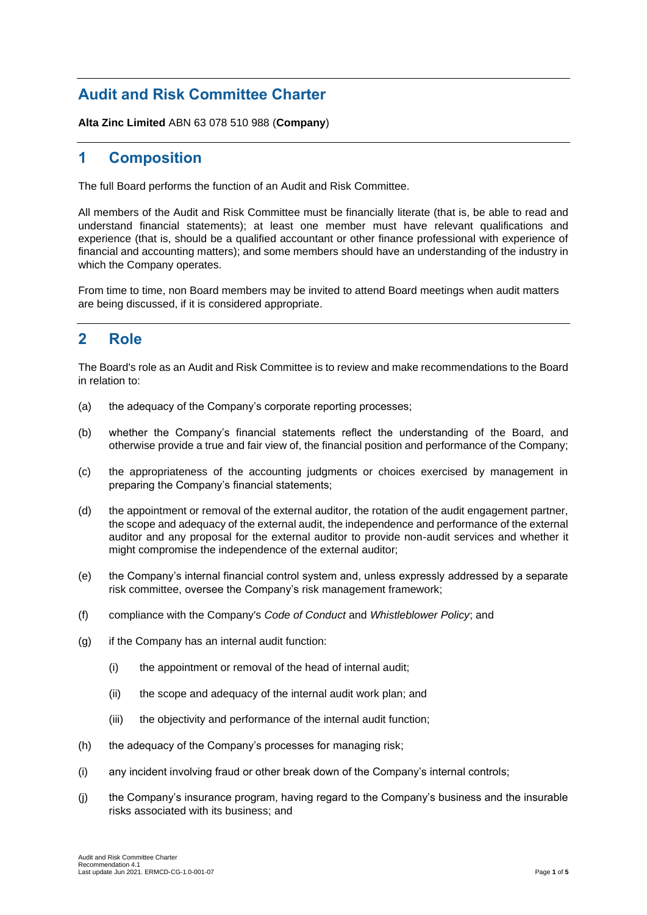# **Audit and Risk Committee Charter**

**Alta Zinc Limited** ABN 63 078 510 988 (**Company**)

## **1 Composition**

The full Board performs the function of an Audit and Risk Committee.

All members of the Audit and Risk Committee must be financially literate (that is, be able to read and understand financial statements); at least one member must have relevant qualifications and experience (that is, should be a qualified accountant or other finance professional with experience of financial and accounting matters); and some members should have an understanding of the industry in which the Company operates.

From time to time, non Board members may be invited to attend Board meetings when audit matters are being discussed, if it is considered appropriate.

## **2 Role**

The Board's role as an Audit and Risk Committee is to review and make recommendations to the Board in relation to:

- (a) the adequacy of the Company's corporate reporting processes;
- (b) whether the Company's financial statements reflect the understanding of the Board, and otherwise provide a true and fair view of, the financial position and performance of the Company;
- (c) the appropriateness of the accounting judgments or choices exercised by management in preparing the Company's financial statements;
- (d) the appointment or removal of the external auditor, the rotation of the audit engagement partner, the scope and adequacy of the external audit, the independence and performance of the external auditor and any proposal for the external auditor to provide non-audit services and whether it might compromise the independence of the external auditor;
- (e) the Company's internal financial control system and, unless expressly addressed by a separate risk committee, oversee the Company's risk management framework;
- (f) compliance with the Company's *Code of Conduct* and *Whistleblower Policy*; and
- (g) if the Company has an internal audit function:
	- (i) the appointment or removal of the head of internal audit;
	- (ii) the scope and adequacy of the internal audit work plan; and
	- (iii) the objectivity and performance of the internal audit function;
- (h) the adequacy of the Company's processes for managing risk;
- (i) any incident involving fraud or other break down of the Company's internal controls;
- (j) the Company's insurance program, having regard to the Company's business and the insurable risks associated with its business; and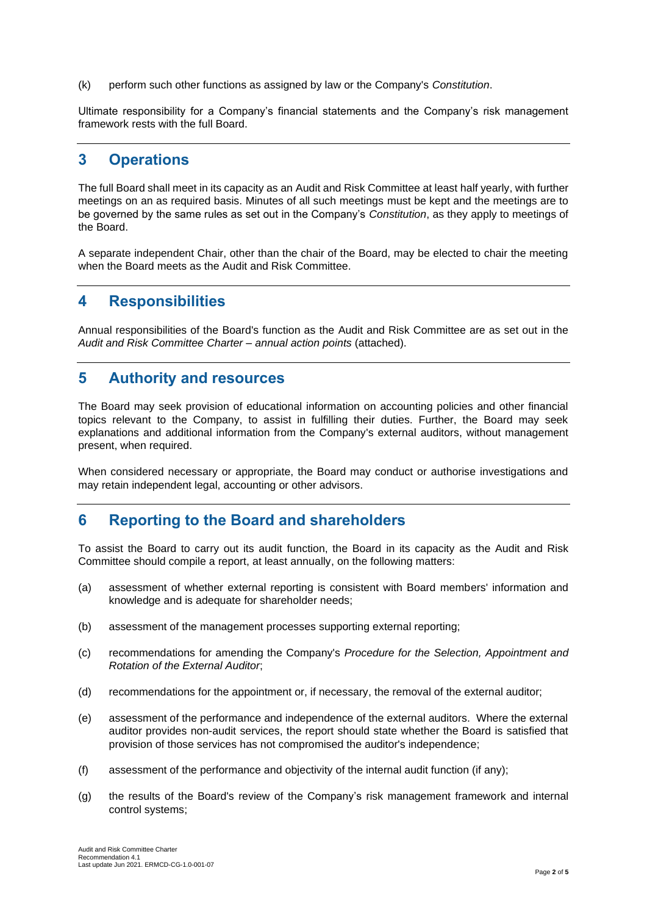(k) perform such other functions as assigned by law or the Company's *Constitution*.

Ultimate responsibility for a Company's financial statements and the Company's risk management framework rests with the full Board.

#### **3 Operations**

The full Board shall meet in its capacity as an Audit and Risk Committee at least half yearly, with further meetings on an as required basis. Minutes of all such meetings must be kept and the meetings are to be governed by the same rules as set out in the Company's *Constitution*, as they apply to meetings of the Board.

A separate independent Chair, other than the chair of the Board, may be elected to chair the meeting when the Board meets as the Audit and Risk Committee.

### **4 Responsibilities**

Annual responsibilities of the Board's function as the Audit and Risk Committee are as set out in the *Audit and Risk Committee Charter – annual action points* (attached).

## **5 Authority and resources**

The Board may seek provision of educational information on accounting policies and other financial topics relevant to the Company, to assist in fulfilling their duties. Further, the Board may seek explanations and additional information from the Company's external auditors, without management present, when required.

When considered necessary or appropriate, the Board may conduct or authorise investigations and may retain independent legal, accounting or other advisors.

## **6 Reporting to the Board and shareholders**

To assist the Board to carry out its audit function, the Board in its capacity as the Audit and Risk Committee should compile a report, at least annually, on the following matters:

- (a) assessment of whether external reporting is consistent with Board members' information and knowledge and is adequate for shareholder needs;
- (b) assessment of the management processes supporting external reporting;
- (c) recommendations for amending the Company's *Procedure for the Selection, Appointment and Rotation of the External Auditor*;
- (d) recommendations for the appointment or, if necessary, the removal of the external auditor;
- (e) assessment of the performance and independence of the external auditors. Where the external auditor provides non-audit services, the report should state whether the Board is satisfied that provision of those services has not compromised the auditor's independence;
- (f) assessment of the performance and objectivity of the internal audit function (if any);
- (g) the results of the Board's review of the Company's risk management framework and internal control systems;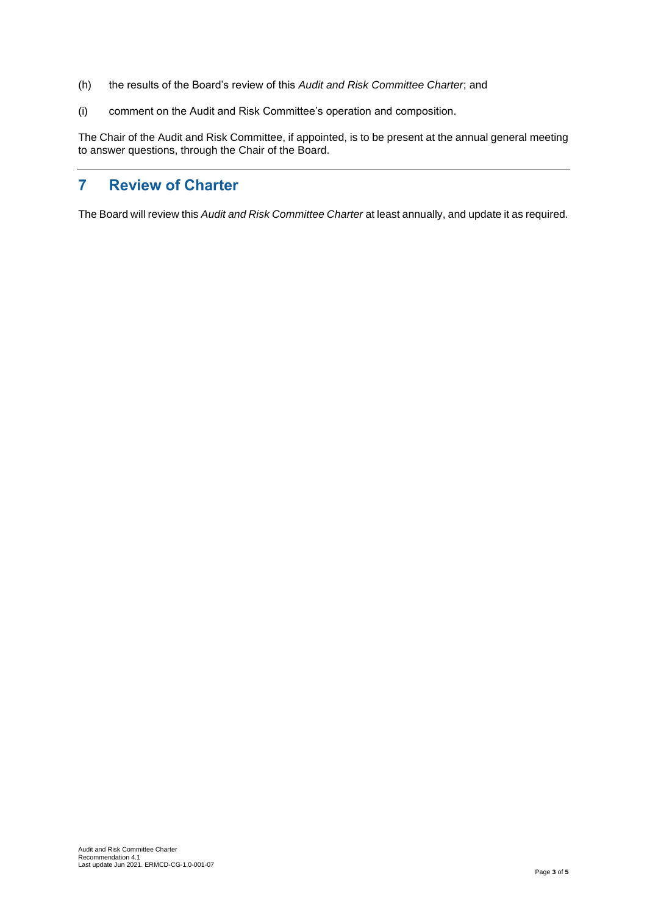- (h) the results of the Board's review of this *Audit and Risk Committee Charter*; and
- (i) comment on the Audit and Risk Committee's operation and composition.

The Chair of the Audit and Risk Committee, if appointed, is to be present at the annual general meeting to answer questions, through the Chair of the Board.

# **7 Review of Charter**

The Board will review this *Audit and Risk Committee Charter* at least annually, and update it as required.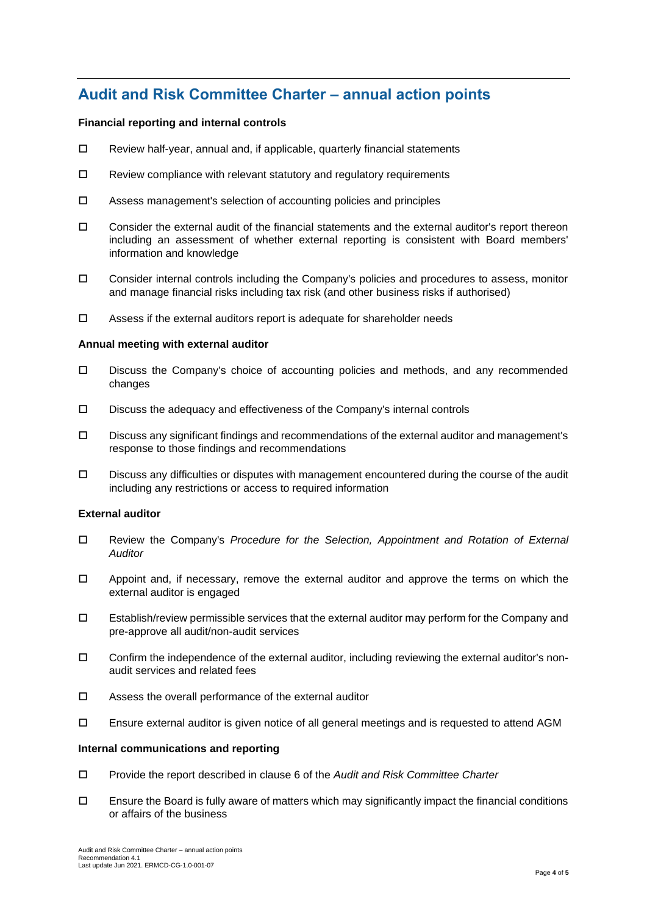# **Audit and Risk Committee Charter – annual action points**

#### **Financial reporting and internal controls**

- $\square$  Review half-year, annual and, if applicable, quarterly financial statements
- $\square$  Review compliance with relevant statutory and regulatory requirements
- Assess management's selection of accounting policies and principles
- $\Box$  Consider the external audit of the financial statements and the external auditor's report thereon including an assessment of whether external reporting is consistent with Board members' information and knowledge
- Consider internal controls including the Company's policies and procedures to assess, monitor and manage financial risks including tax risk (and other business risks if authorised)
- $\square$  Assess if the external auditors report is adequate for shareholder needs

#### **Annual meeting with external auditor**

- Discuss the Company's choice of accounting policies and methods, and any recommended changes
- Discuss the adequacy and effectiveness of the Company's internal controls
- $\square$  Discuss any significant findings and recommendations of the external auditor and management's response to those findings and recommendations
- Discuss any difficulties or disputes with management encountered during the course of the audit including any restrictions or access to required information

#### **External auditor**

- Review the Company's *Procedure for the Selection, Appointment and Rotation of External Auditor*
- $\Box$  Appoint and, if necessary, remove the external auditor and approve the terms on which the external auditor is engaged
- $\square$  Establish/review permissible services that the external auditor may perform for the Company and pre-approve all audit/non-audit services
- $\Box$  Confirm the independence of the external auditor, including reviewing the external auditor's nonaudit services and related fees
- $\square$  Assess the overall performance of the external auditor
- $\square$  Ensure external auditor is given notice of all general meetings and is requested to attend AGM

#### **Internal communications and reporting**

- Provide the report described in clause 6 of the *Audit and Risk Committee Charter*
- $\Box$  Ensure the Board is fully aware of matters which may significantly impact the financial conditions or affairs of the business